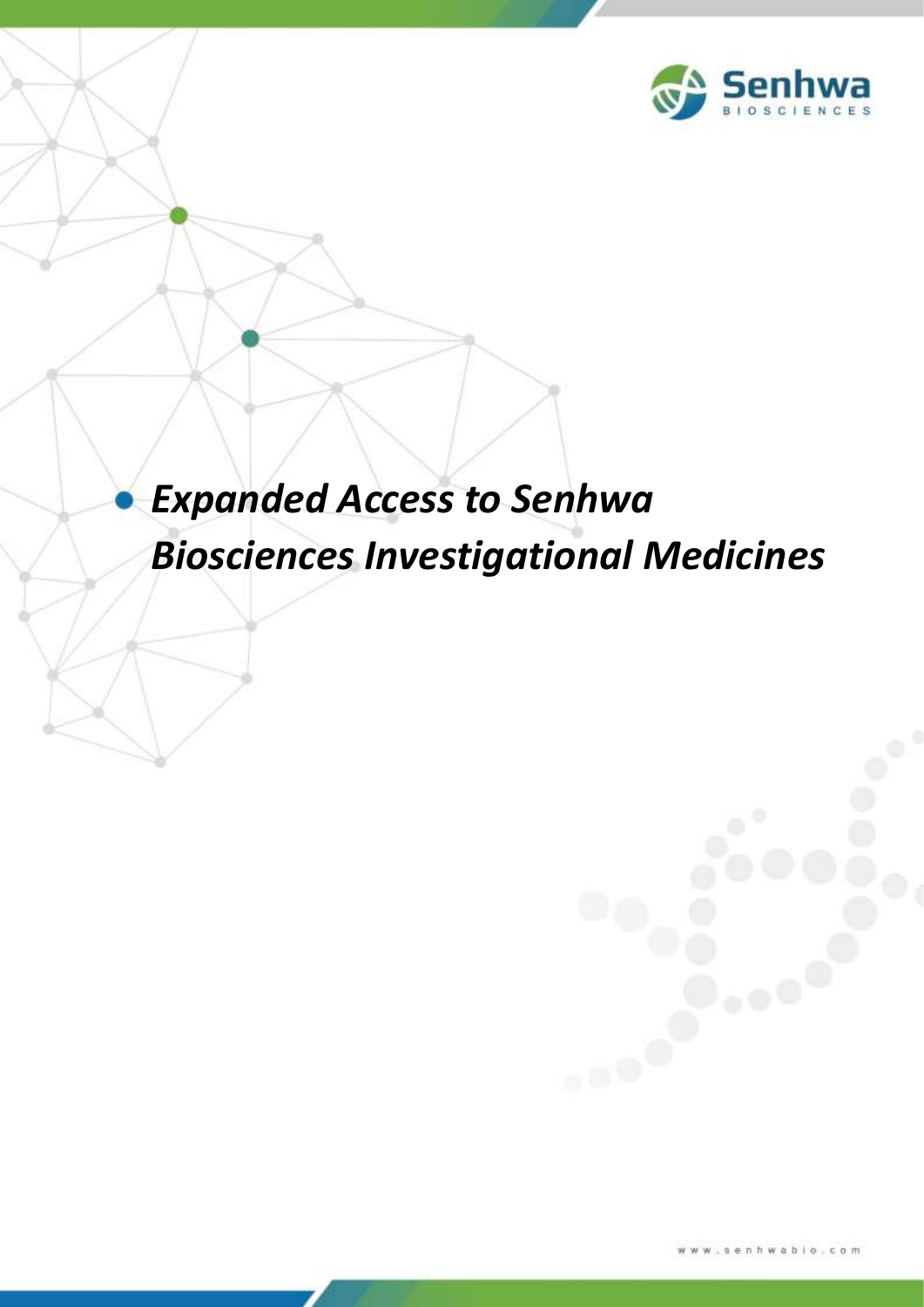

# *Expanded Access to Senhwa Biosciences Investigational Medicines*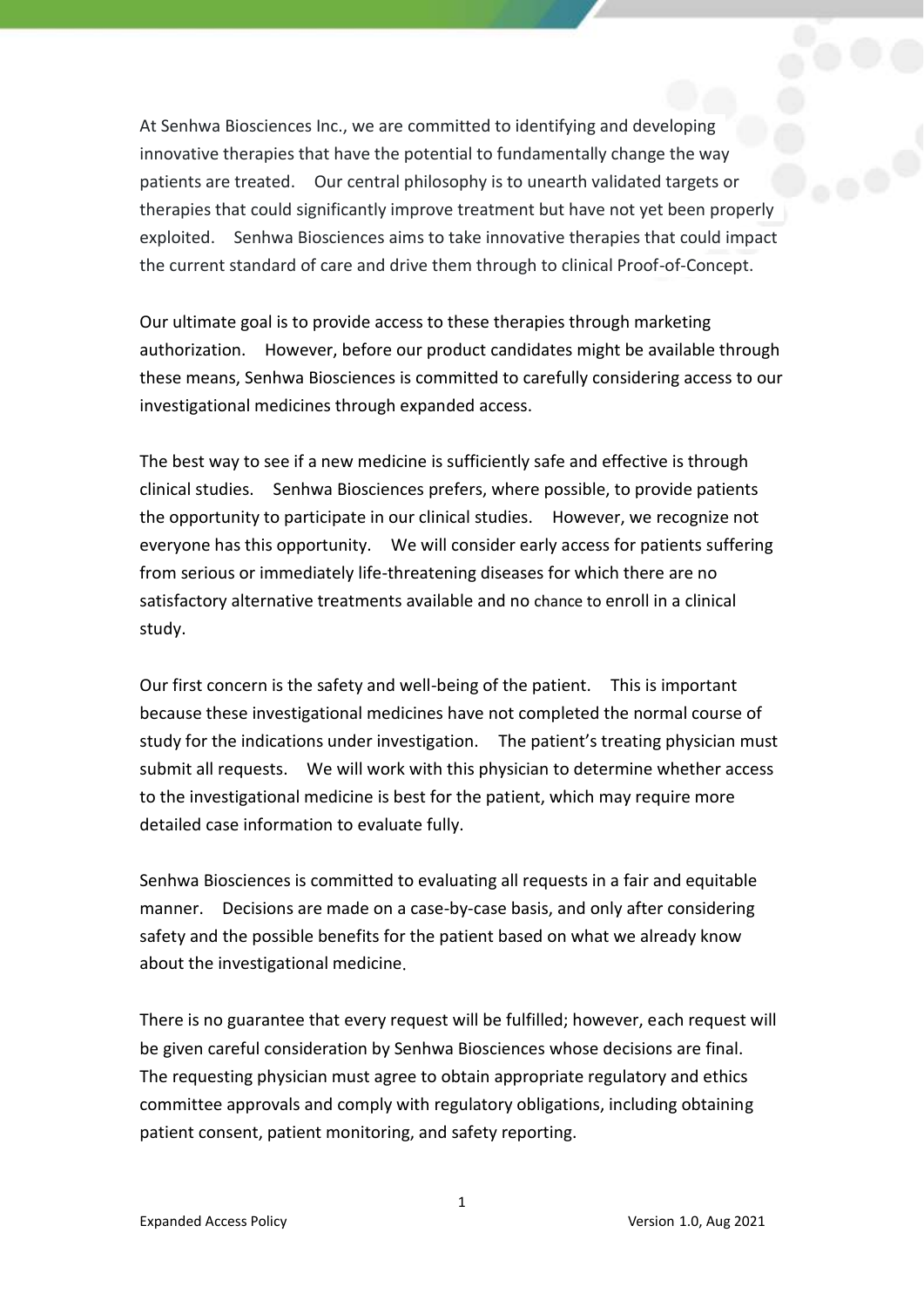At Senhwa Biosciences Inc., we are committed to identifying and developing innovative therapies that have the potential to fundamentally change the way patients are treated. Our central philosophy is to unearth validated targets or therapies that could significantly improve treatment but have not yet been properly exploited. Senhwa Biosciences aims to take innovative therapies that could impact the current standard of care and drive them through to clinical Proof-of-Concept.

Our ultimate goal is to provide access to these therapies through marketing authorization. However, before our product candidates might be available through these means, Senhwa Biosciences is committed to carefully considering access to our investigational medicines through expanded access.

The best way to see if a new medicine is sufficiently safe and effective is through clinical studies. Senhwa Biosciences prefers, where possible, to provide patients the opportunity to participate in our clinical studies. However, we recognize not everyone has this opportunity. We will consider early access for patients suffering from serious or immediately life-threatening diseases for which there are no satisfactory alternative treatments available and no chance to enroll in a clinical study.

Our first concern is the safety and well-being of the patient. This is important because these investigational medicines have not completed the normal course of study for the indications under investigation. The patient's treating physician must submit all requests. We will work with this physician to determine whether access to the investigational medicine is best for the patient, which may require more detailed case information to evaluate fully.

Senhwa Biosciences is committed to evaluating all requests in a fair and equitable manner. Decisions are made on a case-by-case basis, and only after considering safety and the possible benefits for the patient based on what we already know about the investigational medicine.

There is no guarantee that every request will be fulfilled; however, each request will be given careful consideration by Senhwa Biosciences whose decisions are final. The requesting physician must agree to obtain appropriate regulatory and ethics committee approvals and comply with regulatory obligations, including obtaining patient consent, patient monitoring, and safety reporting.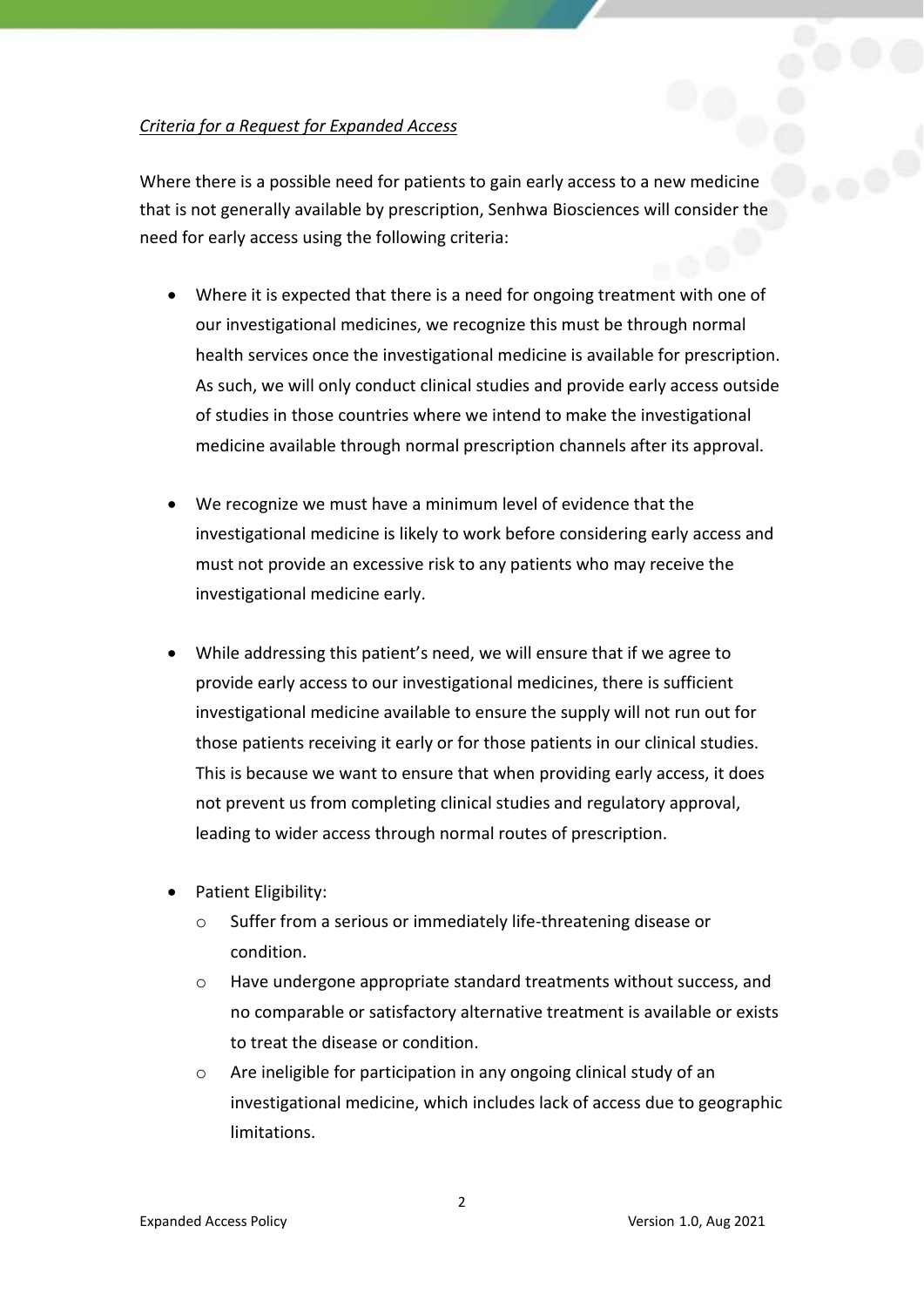## *Criteria for a Request for Expanded Access*

Where there is a possible need for patients to gain early access to a new medicine that is not generally available by prescription, Senhwa Biosciences will consider the need for early access using the following criteria:

- Where it is expected that there is a need for ongoing treatment with one of our investigational medicines, we recognize this must be through normal health services once the investigational medicine is available for prescription. As such, we will only conduct clinical studies and provide early access outside of studies in those countries where we intend to make the investigational medicine available through normal prescription channels after its approval.
- We recognize we must have a minimum level of evidence that the investigational medicine is likely to work before considering early access and must not provide an excessive risk to any patients who may receive the investigational medicine early.
- While addressing this patient's need, we will ensure that if we agree to provide early access to our investigational medicines, there is sufficient investigational medicine available to ensure the supply will not run out for those patients receiving it early or for those patients in our clinical studies. This is because we want to ensure that when providing early access, it does not prevent us from completing clinical studies and regulatory approval, leading to wider access through normal routes of prescription.
- Patient Eligibility:
	- o Suffer from a serious or immediately life-threatening disease or condition.
	- o Have undergone appropriate standard treatments without success, and no comparable or satisfactory alternative treatment is available or exists to treat the disease or condition.
	- o Are ineligible for participation in any ongoing clinical study of an investigational medicine, which includes lack of access due to geographic limitations.